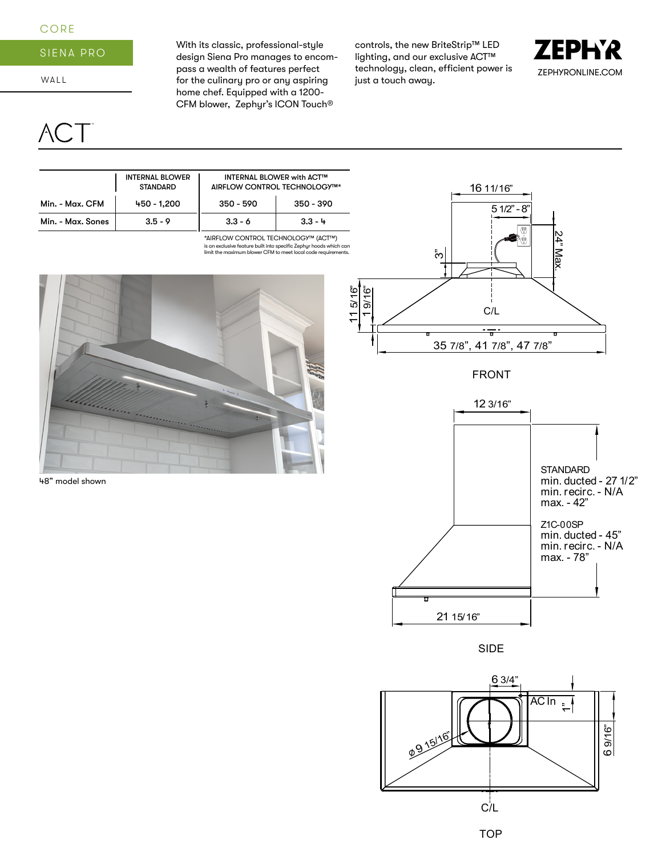## CORE

## SIENA PRO

WALL

CT<sup>-</sup>

With its classic, professional-style design Siena Pro manages to encompass a wealth of features perfect for the culinary pro or any aspiring home chef. Equipped with a 1200- CFM blower, Zephyr's ICON Touch®

controls, the new BriteStrip™ LED lighting, and our exclusive ACT™ technology, clean, efficient power is just a touch away.



INTERNAL BLOWER **STANDARD** INTERNAL BLOWER with ACT™ AIRFLOW CONTROL TECHNOLOGY™\* Min. - Max. CFM Min. - Max. Sones 450 - 1,200 3.5 - 9 350 - 590 3.3 - 6 350 - 390 3.3 - 4

> is an exclusive feature built into specific Zephyr hoods which can limit the maximum blower CFM to meet local code requirements. \*AIRFLOW CONTROL TECHNOLOGY™ (ACT™)



48" model shown



FRONT



SIDE